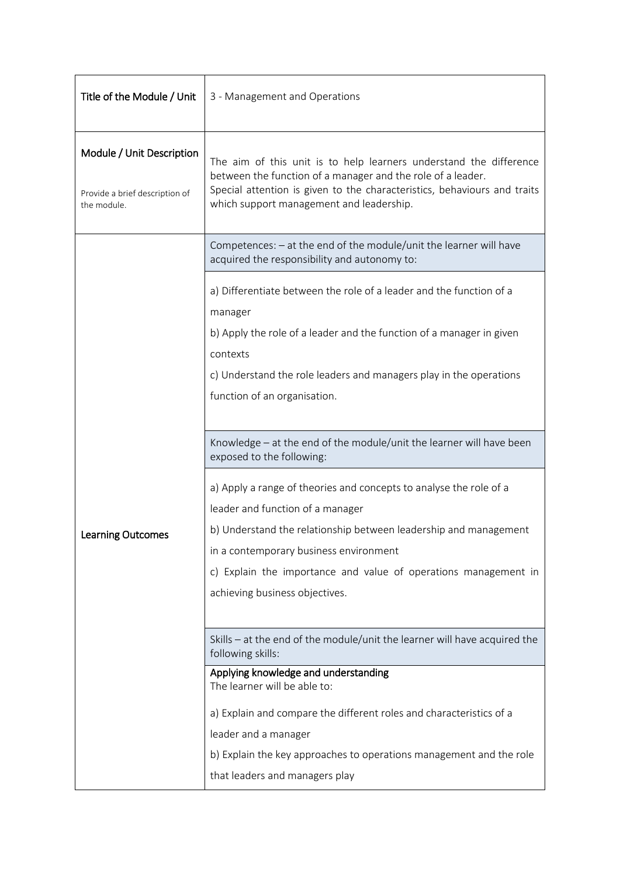| Title of the Module / Unit                                                 | 3 - Management and Operations                                                                                                                                                                                                                             |  |
|----------------------------------------------------------------------------|-----------------------------------------------------------------------------------------------------------------------------------------------------------------------------------------------------------------------------------------------------------|--|
| Module / Unit Description<br>Provide a brief description of<br>the module. | The aim of this unit is to help learners understand the difference<br>between the function of a manager and the role of a leader.<br>Special attention is given to the characteristics, behaviours and traits<br>which support management and leadership. |  |
| <b>Learning Outcomes</b>                                                   | Competences: - at the end of the module/unit the learner will have<br>acquired the responsibility and autonomy to:                                                                                                                                        |  |
|                                                                            | a) Differentiate between the role of a leader and the function of a<br>manager<br>b) Apply the role of a leader and the function of a manager in given                                                                                                    |  |
|                                                                            | contexts<br>c) Understand the role leaders and managers play in the operations<br>function of an organisation.                                                                                                                                            |  |
|                                                                            | Knowledge - at the end of the module/unit the learner will have been<br>exposed to the following:                                                                                                                                                         |  |
|                                                                            | a) Apply a range of theories and concepts to analyse the role of a<br>leader and function of a manager<br>b) Understand the relationship between leadership and management                                                                                |  |
|                                                                            | in a contemporary business environment                                                                                                                                                                                                                    |  |
|                                                                            | c) Explain the importance and value of operations management in                                                                                                                                                                                           |  |
|                                                                            | achieving business objectives.                                                                                                                                                                                                                            |  |
|                                                                            | Skills - at the end of the module/unit the learner will have acquired the<br>following skills:                                                                                                                                                            |  |
|                                                                            | Applying knowledge and understanding<br>The learner will be able to:                                                                                                                                                                                      |  |
|                                                                            | a) Explain and compare the different roles and characteristics of a                                                                                                                                                                                       |  |
|                                                                            | leader and a manager                                                                                                                                                                                                                                      |  |
|                                                                            | b) Explain the key approaches to operations management and the role                                                                                                                                                                                       |  |
|                                                                            | that leaders and managers play                                                                                                                                                                                                                            |  |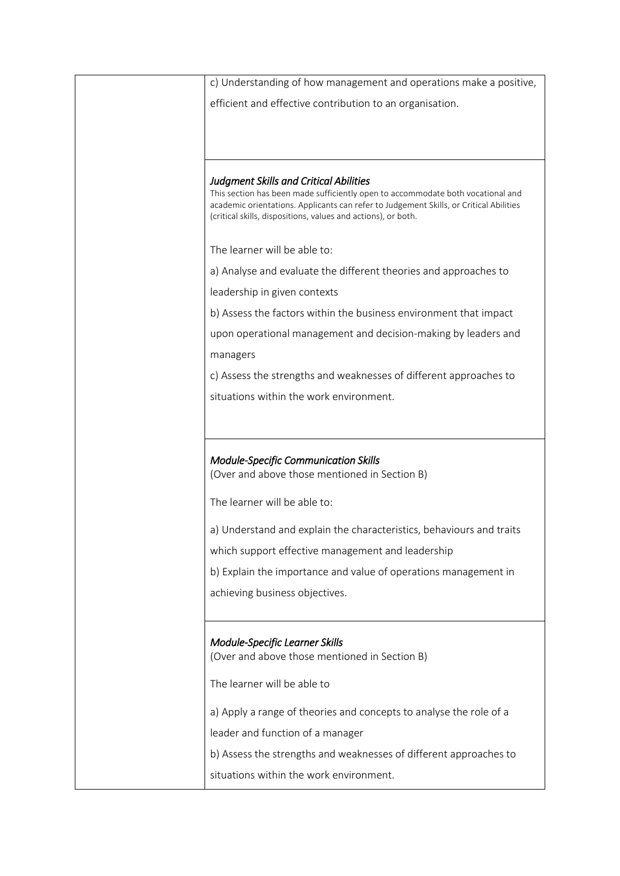| c) Understanding of how management and operations make a positive,                                                                                                                                                                                                                          |
|---------------------------------------------------------------------------------------------------------------------------------------------------------------------------------------------------------------------------------------------------------------------------------------------|
| efficient and effective contribution to an organisation.                                                                                                                                                                                                                                    |
|                                                                                                                                                                                                                                                                                             |
|                                                                                                                                                                                                                                                                                             |
|                                                                                                                                                                                                                                                                                             |
| <b>Judgment Skills and Critical Abilities</b><br>This section has been made sufficiently open to accommodate both vocational and<br>academic orientations. Applicants can refer to Judgement Skills, or Critical Abilities<br>(critical skills, dispositions, values and actions), or both. |
|                                                                                                                                                                                                                                                                                             |
| The learner will be able to:                                                                                                                                                                                                                                                                |
| a) Analyse and evaluate the different theories and approaches to                                                                                                                                                                                                                            |
| leadership in given contexts                                                                                                                                                                                                                                                                |
| b) Assess the factors within the business environment that impact                                                                                                                                                                                                                           |
| upon operational management and decision-making by leaders and                                                                                                                                                                                                                              |
| managers                                                                                                                                                                                                                                                                                    |
| c) Assess the strengths and weaknesses of different approaches to                                                                                                                                                                                                                           |
| situations within the work environment.                                                                                                                                                                                                                                                     |
|                                                                                                                                                                                                                                                                                             |
|                                                                                                                                                                                                                                                                                             |
|                                                                                                                                                                                                                                                                                             |
| <b>Module-Specific Communication Skills</b><br>(Over and above those mentioned in Section B)                                                                                                                                                                                                |
|                                                                                                                                                                                                                                                                                             |
| The learner will be able to:                                                                                                                                                                                                                                                                |
| a) Understand and explain the characteristics, behaviours and traits                                                                                                                                                                                                                        |
| which support effective management and leadership                                                                                                                                                                                                                                           |
| b) Explain the importance and value of operations management in                                                                                                                                                                                                                             |
| achieving business objectives.                                                                                                                                                                                                                                                              |
|                                                                                                                                                                                                                                                                                             |
|                                                                                                                                                                                                                                                                                             |
| Module-Specific Learner Skills<br>(Over and above those mentioned in Section B)                                                                                                                                                                                                             |
|                                                                                                                                                                                                                                                                                             |
| The learner will be able to                                                                                                                                                                                                                                                                 |
| a) Apply a range of theories and concepts to analyse the role of a                                                                                                                                                                                                                          |
| leader and function of a manager                                                                                                                                                                                                                                                            |
| b) Assess the strengths and weaknesses of different approaches to                                                                                                                                                                                                                           |
| situations within the work environment.                                                                                                                                                                                                                                                     |
|                                                                                                                                                                                                                                                                                             |